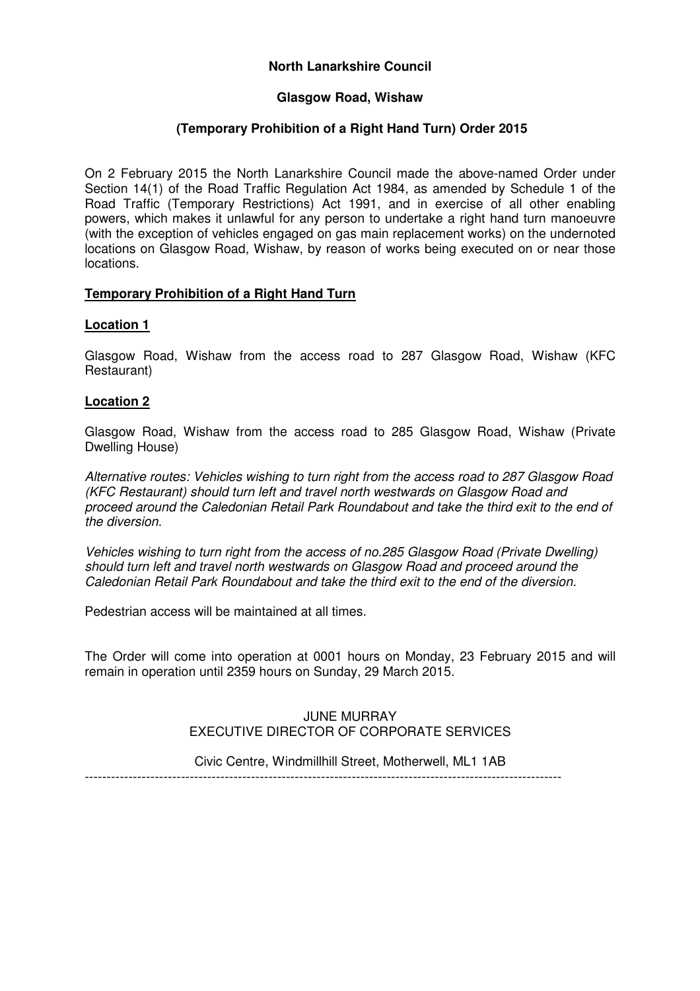## **North Lanarkshire Council**

#### **Glasgow Road, Wishaw**

## **(Temporary Prohibition of a Right Hand Turn) Order 2015**

On 2 February 2015 the North Lanarkshire Council made the above-named Order under Section 14(1) of the Road Traffic Regulation Act 1984, as amended by Schedule 1 of the Road Traffic (Temporary Restrictions) Act 1991, and in exercise of all other enabling powers, which makes it unlawful for any person to undertake a right hand turn manoeuvre (with the exception of vehicles engaged on gas main replacement works) on the undernoted locations on Glasgow Road, Wishaw, by reason of works being executed on or near those locations.

#### **Temporary Prohibition of a Right Hand Turn**

#### **Location 1**

Glasgow Road, Wishaw from the access road to 287 Glasgow Road, Wishaw (KFC Restaurant)

#### **Location 2**

Glasgow Road, Wishaw from the access road to 285 Glasgow Road, Wishaw (Private Dwelling House)

Alternative routes: Vehicles wishing to turn right from the access road to 287 Glasgow Road (KFC Restaurant) should turn left and travel north westwards on Glasgow Road and proceed around the Caledonian Retail Park Roundabout and take the third exit to the end of the diversion.

Vehicles wishing to turn right from the access of no.285 Glasgow Road (Private Dwelling) should turn left and travel north westwards on Glasgow Road and proceed around the Caledonian Retail Park Roundabout and take the third exit to the end of the diversion.

Pedestrian access will be maintained at all times.

The Order will come into operation at 0001 hours on Monday, 23 February 2015 and will remain in operation until 2359 hours on Sunday, 29 March 2015.

#### JUNE MURRAY EXECUTIVE DIRECTOR OF CORPORATE SERVICES

Civic Centre, Windmillhill Street, Motherwell, ML1 1AB

-------------------------------------------------------------------------------------------------------------